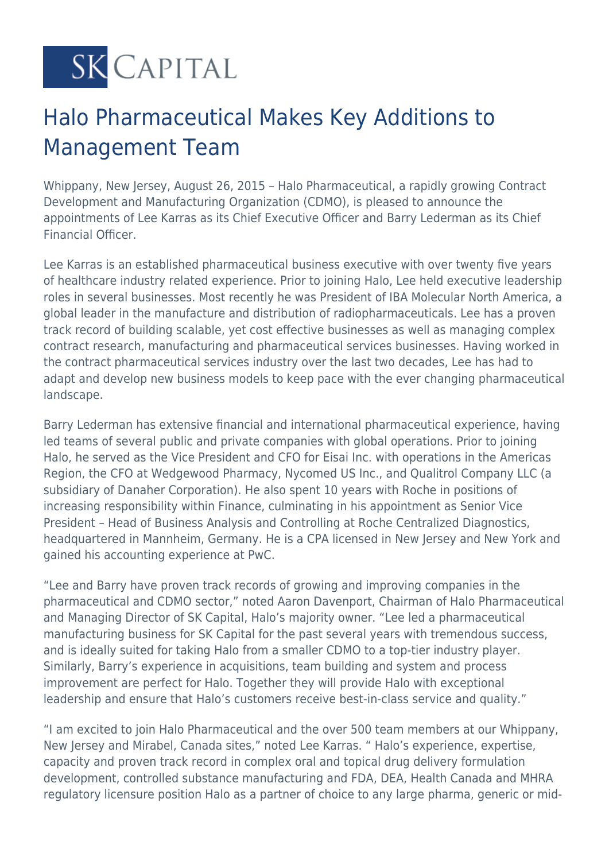# **SK CAPITAL**

## Halo Pharmaceutical Makes Key Additions to Management Team

Whippany, New Jersey, August 26, 2015 – Halo Pharmaceutical, a rapidly growing Contract Development and Manufacturing Organization (CDMO), is pleased to announce the appointments of Lee Karras as its Chief Executive Officer and Barry Lederman as its Chief Financial Officer.

Lee Karras is an established pharmaceutical business executive with over twenty five years of healthcare industry related experience. Prior to joining Halo, Lee held executive leadership roles in several businesses. Most recently he was President of IBA Molecular North America, a global leader in the manufacture and distribution of radiopharmaceuticals. Lee has a proven track record of building scalable, yet cost effective businesses as well as managing complex contract research, manufacturing and pharmaceutical services businesses. Having worked in the contract pharmaceutical services industry over the last two decades, Lee has had to adapt and develop new business models to keep pace with the ever changing pharmaceutical landscape.

Barry Lederman has extensive financial and international pharmaceutical experience, having led teams of several public and private companies with global operations. Prior to joining Halo, he served as the Vice President and CFO for Eisai Inc. with operations in the Americas Region, the CFO at Wedgewood Pharmacy, Nycomed US Inc., and Qualitrol Company LLC (a subsidiary of Danaher Corporation). He also spent 10 years with Roche in positions of increasing responsibility within Finance, culminating in his appointment as Senior Vice President – Head of Business Analysis and Controlling at Roche Centralized Diagnostics, headquartered in Mannheim, Germany. He is a CPA licensed in New Jersey and New York and gained his accounting experience at PwC.

"Lee and Barry have proven track records of growing and improving companies in the pharmaceutical and CDMO sector," noted Aaron Davenport, Chairman of Halo Pharmaceutical and Managing Director of SK Capital, Halo's majority owner. "Lee led a pharmaceutical manufacturing business for SK Capital for the past several years with tremendous success, and is ideally suited for taking Halo from a smaller CDMO to a top-tier industry player. Similarly, Barry's experience in acquisitions, team building and system and process improvement are perfect for Halo. Together they will provide Halo with exceptional leadership and ensure that Halo's customers receive best-in-class service and quality."

"I am excited to join Halo Pharmaceutical and the over 500 team members at our Whippany, New Jersey and Mirabel, Canada sites," noted Lee Karras. " Halo's experience, expertise, capacity and proven track record in complex oral and topical drug delivery formulation development, controlled substance manufacturing and FDA, DEA, Health Canada and MHRA regulatory licensure position Halo as a partner of choice to any large pharma, generic or mid